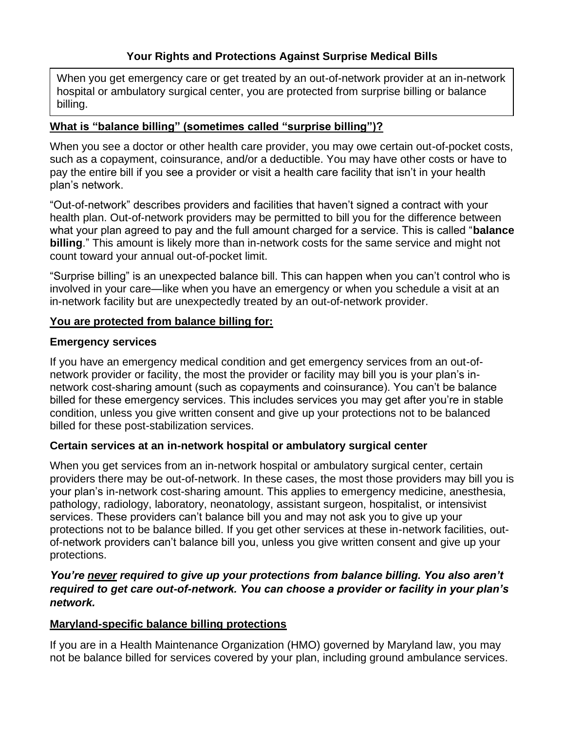When you get emergency care or get treated by an out-of-network provider at an in-network hospital or ambulatory surgical center, you are protected from surprise billing or balance billing.

## **What is "balance billing" (sometimes called "surprise billing")?**

When you see a doctor or other health care provider, you may owe certain out-of-pocket costs, such as a copayment, coinsurance, and/or a deductible. You may have other costs or have to pay the entire bill if you see a provider or visit a health care facility that isn't in your health plan's network.

"Out-of-network" describes providers and facilities that haven't signed a contract with your health plan. Out-of-network providers may be permitted to bill you for the difference between what your plan agreed to pay and the full amount charged for a service. This is called "**balance billing**." This amount is likely more than in-network costs for the same service and might not count toward your annual out-of-pocket limit.

"Surprise billing" is an unexpected balance bill. This can happen when you can't control who is involved in your care—like when you have an emergency or when you schedule a visit at an in-network facility but are unexpectedly treated by an out-of-network provider.

# **You are protected from balance billing for:**

## **Emergency services**

If you have an emergency medical condition and get emergency services from an out-ofnetwork provider or facility, the most the provider or facility may bill you is your plan's innetwork cost-sharing amount (such as copayments and coinsurance). You can't be balance billed for these emergency services. This includes services you may get after you're in stable condition, unless you give written consent and give up your protections not to be balanced billed for these post-stabilization services.

# **Certain services at an in-network hospital or ambulatory surgical center**

When you get services from an in-network hospital or ambulatory surgical center, certain providers there may be out-of-network. In these cases, the most those providers may bill you is your plan's in-network cost-sharing amount. This applies to emergency medicine, anesthesia, pathology, radiology, laboratory, neonatology, assistant surgeon, hospitalist, or intensivist services. These providers can't balance bill you and may not ask you to give up your protections not to be balance billed. If you get other services at these in-network facilities, outof-network providers can't balance bill you, unless you give written consent and give up your protections.

## *You're never required to give up your protections from balance billing. You also aren't required to get care out-of-network. You can choose a provider or facility in your plan's network.*

## **Maryland-specific balance billing protections**

If you are in a Health Maintenance Organization (HMO) governed by Maryland law, you may not be balance billed for services covered by your plan, including ground ambulance services.